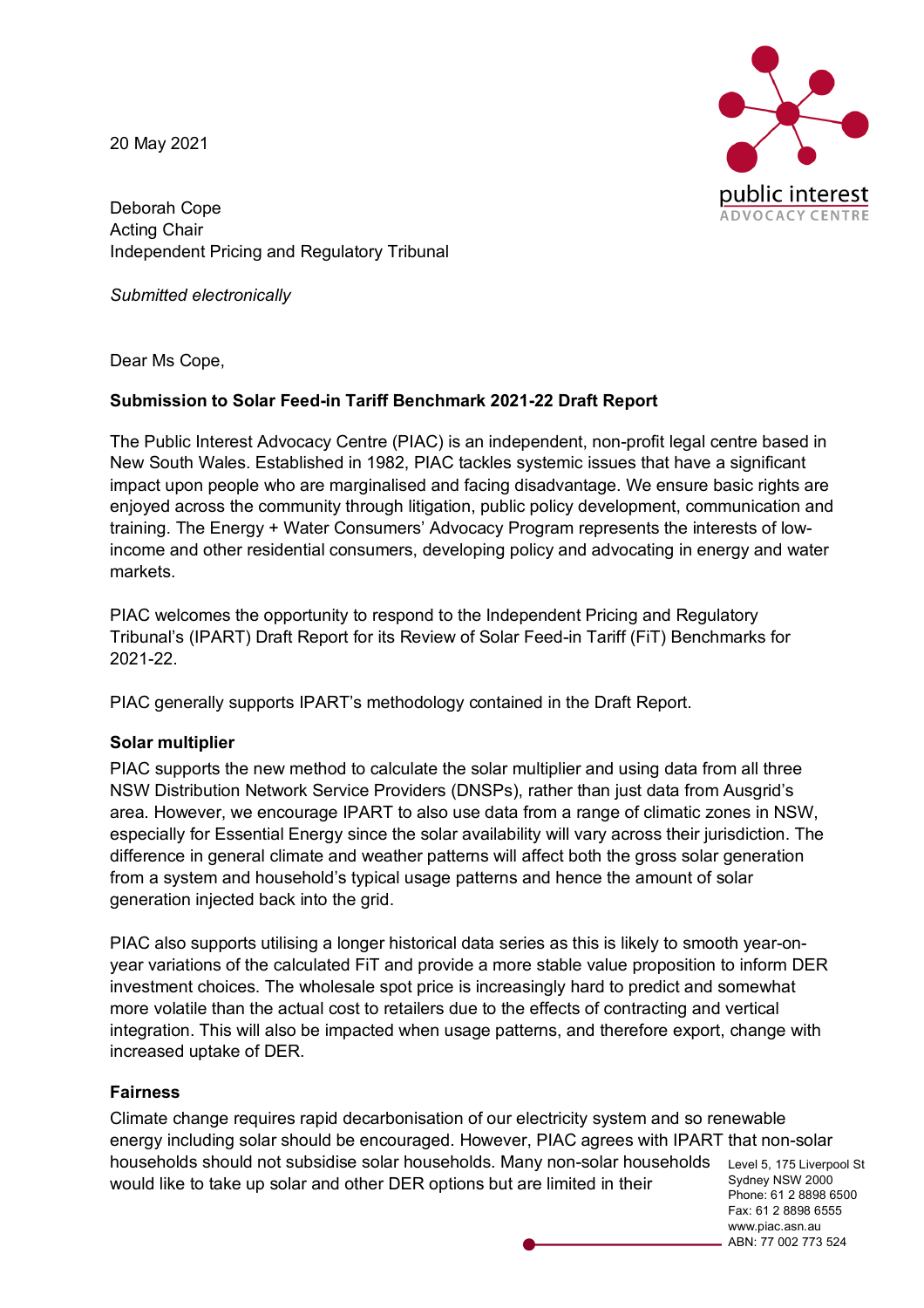20 May 2021

blic interest! **ADVOCACY CENTRE** 

Deborah Cope Acting Chair Independent Pricing and Regulatory Tribunal

*Submitted electronically*

Dear Ms Cope,

# **Submission to Solar Feed-in Tariff Benchmark 2021-22 Draft Report**

The Public Interest Advocacy Centre (PIAC) is an independent, non-profit legal centre based in New South Wales. Established in 1982, PIAC tackles systemic issues that have a significant impact upon people who are marginalised and facing disadvantage. We ensure basic rights are enjoyed across the community through litigation, public policy development, communication and training. The Energy + Water Consumers' Advocacy Program represents the interests of lowincome and other residential consumers, developing policy and advocating in energy and water markets.

PIAC welcomes the opportunity to respond to the Independent Pricing and Regulatory Tribunal's (IPART) Draft Report for its Review of Solar Feed-in Tariff (FiT) Benchmarks for 2021-22.

PIAC generally supports IPART's methodology contained in the Draft Report.

### **Solar multiplier**

PIAC supports the new method to calculate the solar multiplier and using data from all three NSW Distribution Network Service Providers (DNSPs), rather than just data from Ausgrid's area. However, we encourage IPART to also use data from a range of climatic zones in NSW, especially for Essential Energy since the solar availability will vary across their jurisdiction. The difference in general climate and weather patterns will affect both the gross solar generation from a system and household's typical usage patterns and hence the amount of solar generation injected back into the grid.

PIAC also supports utilising a longer historical data series as this is likely to smooth year-onyear variations of the calculated FiT and provide a more stable value proposition to inform DER investment choices. The wholesale spot price is increasingly hard to predict and somewhat more volatile than the actual cost to retailers due to the effects of contracting and vertical integration. This will also be impacted when usage patterns, and therefore export, change with increased uptake of DER.

### **Fairness**

households should not subsidise solar households. Many non-solar households Level 5, 175 Liverpool St Sydney NSW 2000 Climate change requires rapid decarbonisation of our electricity system and so renewable energy including solar should be encouraged. However, PIAC agrees with IPART that non-solar would like to take up solar and other DER options but are limited in their

Phone: 61 2 8898 6500 Fax: 61 2 8898 6555 www.piac.asn.au ABN: 77 002 773 524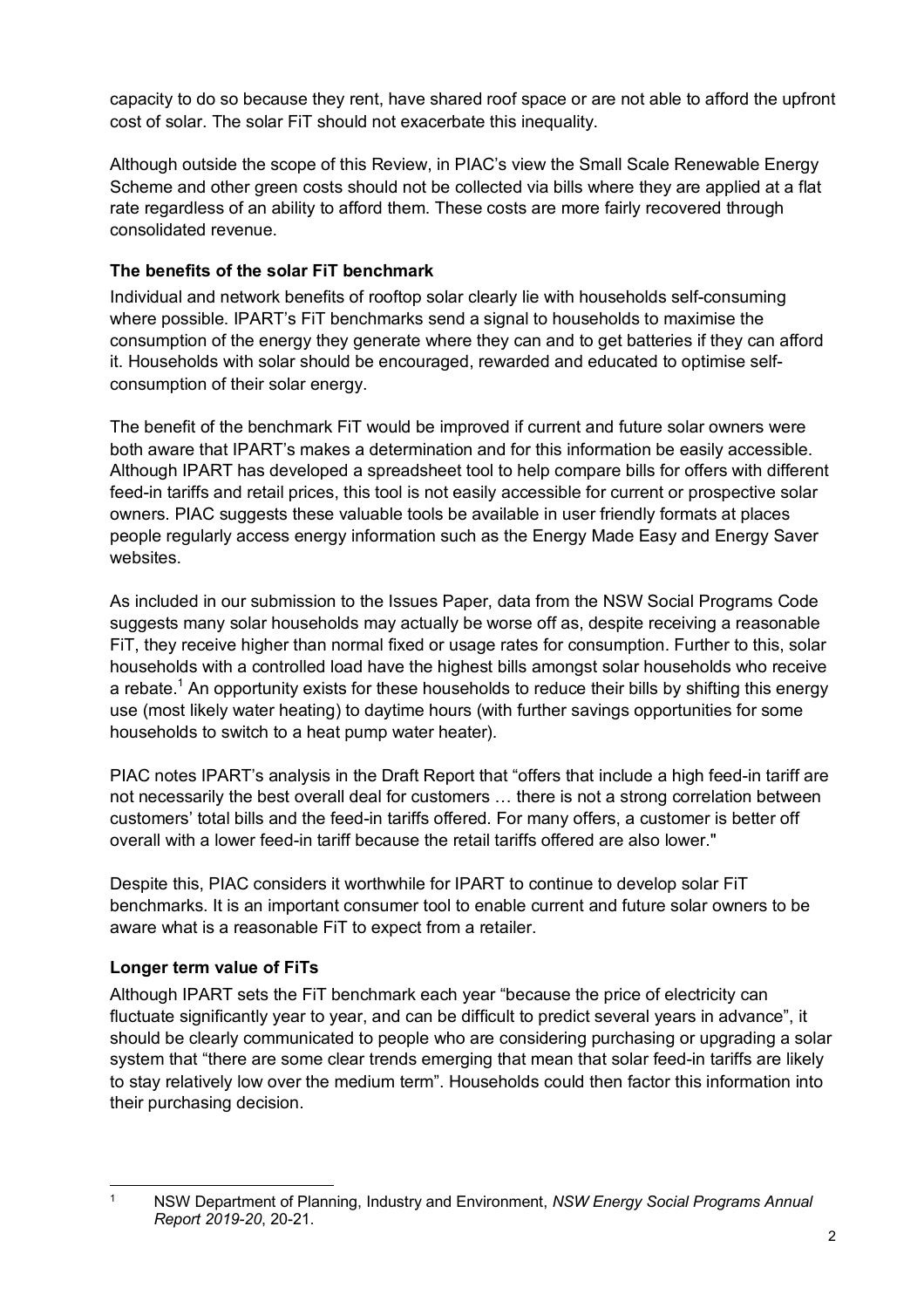capacity to do so because they rent, have shared roof space or are not able to afford the upfront cost of solar. The solar FiT should not exacerbate this inequality.

Although outside the scope of this Review, in PIAC's view the Small Scale Renewable Energy Scheme and other green costs should not be collected via bills where they are applied at a flat rate regardless of an ability to afford them. These costs are more fairly recovered through consolidated revenue.

# **The benefits of the solar FiT benchmark**

Individual and network benefits of rooftop solar clearly lie with households self-consuming where possible. IPART's FiT benchmarks send a signal to households to maximise the consumption of the energy they generate where they can and to get batteries if they can afford it. Households with solar should be encouraged, rewarded and educated to optimise selfconsumption of their solar energy.

The benefit of the benchmark FiT would be improved if current and future solar owners were both aware that IPART's makes a determination and for this information be easily accessible. Although IPART has developed a spreadsheet tool to help compare bills for offers with different feed-in tariffs and retail prices, this tool is not easily accessible for current or prospective solar owners. PIAC suggests these valuable tools be available in user friendly formats at places people regularly access energy information such as the Energy Made Easy and Energy Saver websites.

As included in our submission to the Issues Paper, data from the NSW Social Programs Code suggests many solar households may actually be worse off as, despite receiving a reasonable FiT, they receive higher than normal fixed or usage rates for consumption. Further to this, solar households with a controlled load have the highest bills amongst solar households who receive a rebate.<sup>1</sup> An opportunity exists for these households to reduce their bills by shifting this energy use (most likely water heating) to daytime hours (with further savings opportunities for some households to switch to a heat pump water heater).

PIAC notes IPART's analysis in the Draft Report that "offers that include a high feed-in tariff are not necessarily the best overall deal for customers … there is not a strong correlation between customers' total bills and the feed-in tariffs offered. For many offers, a customer is better off overall with a lower feed-in tariff because the retail tariffs offered are also lower."

Despite this, PIAC considers it worthwhile for IPART to continue to develop solar FiT benchmarks. It is an important consumer tool to enable current and future solar owners to be aware what is a reasonable FiT to expect from a retailer.

### **Longer term value of FiTs**

Although IPART sets the FiT benchmark each year "because the price of electricity can fluctuate significantly year to year, and can be difficult to predict several years in advance", it should be clearly communicated to people who are considering purchasing or upgrading a solar system that "there are some clear trends emerging that mean that solar feed-in tariffs are likely to stay relatively low over the medium term". Households could then factor this information into their purchasing decision.

 <sup>1</sup> NSW Department of Planning, Industry and Environment, *NSW Energy Social Programs Annual Report 2019-20*, 20-21.